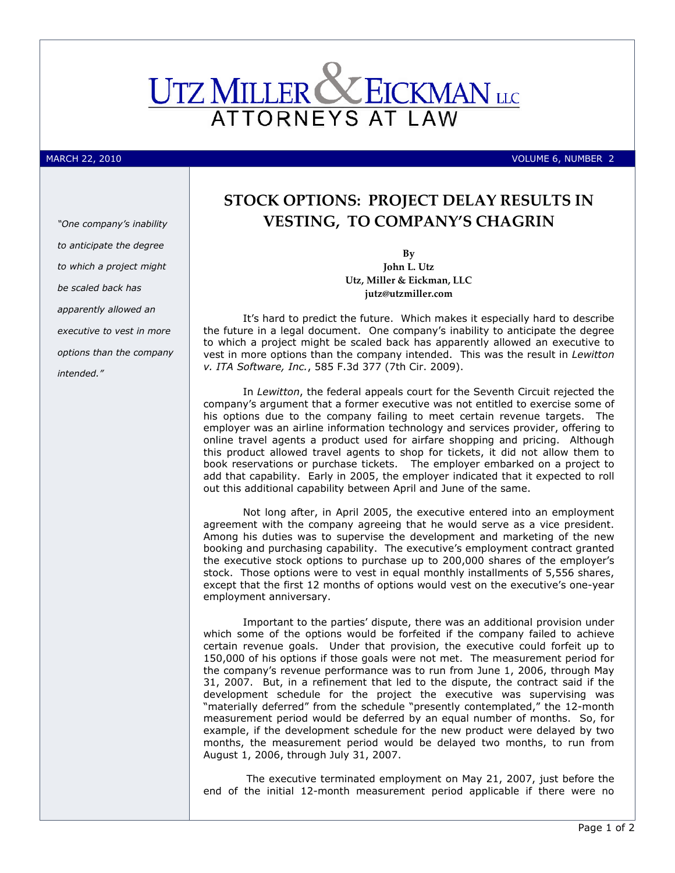

MARCH 22, 2010 VOLUME 6, NUMBER 2

## "One company's inability to anticipate the degree to which a project might be scaled back has apparently allowed an executive to vest in more options than the company intended."

By John L. Utz Utz, Miller & Eickman, LLC jutz@utzmiller.com

STOCK OPTIONS: PROJECT DELAY RESULTS IN VESTING, TO COMPANY'S CHAGRIN

It's hard to predict the future. Which makes it especially hard to describe the future in a legal document. One company's inability to anticipate the degree to which a project might be scaled back has apparently allowed an executive to vest in more options than the company intended. This was the result in Lewitton v. ITA Software, Inc., 585 F.3d 377 (7th Cir. 2009).

In Lewitton, the federal appeals court for the Seventh Circuit rejected the company's argument that a former executive was not entitled to exercise some of his options due to the company failing to meet certain revenue targets. The employer was an airline information technology and services provider, offering to online travel agents a product used for airfare shopping and pricing. Although this product allowed travel agents to shop for tickets, it did not allow them to book reservations or purchase tickets. The employer embarked on a project to add that capability. Early in 2005, the employer indicated that it expected to roll out this additional capability between April and June of the same.

Not long after, in April 2005, the executive entered into an employment agreement with the company agreeing that he would serve as a vice president. Among his duties was to supervise the development and marketing of the new booking and purchasing capability. The executive's employment contract granted the executive stock options to purchase up to 200,000 shares of the employer's stock. Those options were to vest in equal monthly installments of 5,556 shares, except that the first 12 months of options would vest on the executive's one-year employment anniversary.

Important to the parties' dispute, there was an additional provision under which some of the options would be forfeited if the company failed to achieve certain revenue goals. Under that provision, the executive could forfeit up to 150,000 of his options if those goals were not met. The measurement period for the company's revenue performance was to run from June 1, 2006, through May 31, 2007. But, in a refinement that led to the dispute, the contract said if the development schedule for the project the executive was supervising was "materially deferred" from the schedule "presently contemplated," the 12-month measurement period would be deferred by an equal number of months. So, for example, if the development schedule for the new product were delayed by two months, the measurement period would be delayed two months, to run from August 1, 2006, through July 31, 2007.

 The executive terminated employment on May 21, 2007, just before the end of the initial 12-month measurement period applicable if there were no